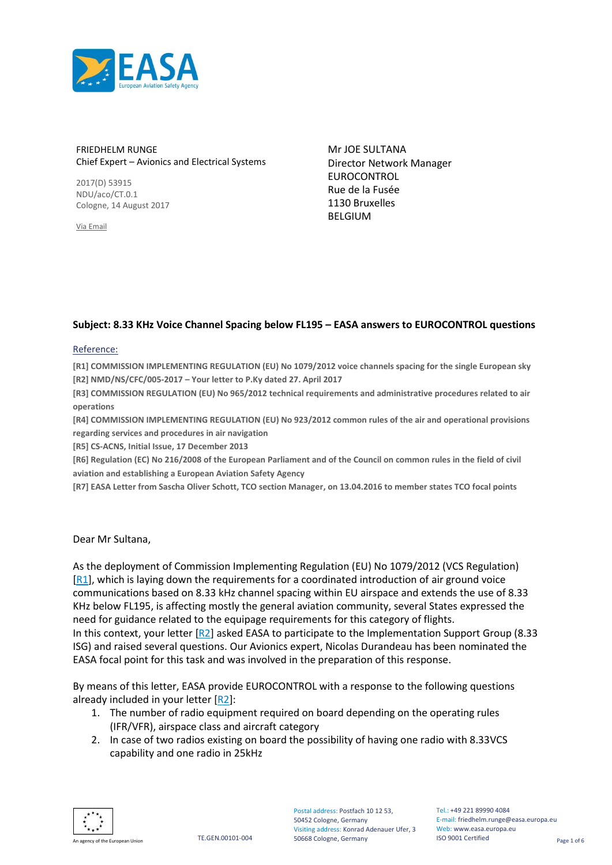

#### FRIEDHELM RUNGE Chief Expert – Avionics and Electrical Systems

2017(D) 53915 NDU/aco/CT.0.1 Cologne, 14 August 2017

Via Email

Mr JOE SULTANA Director Network Manager EUROCONTROL Rue de la Fusée 1130 Bruxelles BELGIUM

#### <span id="page-0-0"></span>**Subject: 8.33 KHz Voice Channel Spacing below FL195 – EASA answers to EUROCONTROL questions**

#### Reference:

**[R1] COMMISSION IMPLEMENTING REGULATION (EU) No 1079/2012 voice channels spacing for the single European sky [R2] NMD/NS/CFC/005-2017 – Your letter to P.Ky dated 27. April 2017**

**[R3] COMMISSION REGULATION (EU) No 965/2012 technical requirements and administrative procedures related to air operations**

**[R4] COMMISSION IMPLEMENTING REGULATION (EU) No 923/2012 common rules of the air and operational provisions regarding services and procedures in air navigation**

**[R5] CS-ACNS, Initial Issue, 17 December 2013**

**[R6] Regulation (EC) No 216/2008 of the European Parliament and of the Council on common rules in the field of civil aviation and establishing a European Aviation Safety Agency**

**[R7] EASA Letter from Sascha Oliver Schott, TCO section Manager, on 13.04.2016 to member states TCO focal points**

#### Dear Mr Sultana,

As the deployment of Commission Implementing Regulation (EU) No 1079/2012 (VCS Regulation) [\[R1\]](#page-0-0), which is laying down the requirements for a coordinated introduction of air ground voice communications based on 8.33 kHz channel spacing within EU airspace and extends the use of 8.33 KHz below FL195, is affecting mostly the general aviation community, several States expressed the need for guidance related to the equipage requirements for this category of flights. In this context, your letter [\[R2\]](#page-0-0) asked EASA to participate to the Implementation Support Group (8.33 ISG) and raised several questions. Our Avionics expert, Nicolas Durandeau has been nominated the EASA focal point for this task and was involved in the preparation of this response.

By means of this letter, EASA provide EUROCONTROL with a response to the following questions already included in your letter [\[R2\]](#page-0-0):

- 1. The number of radio equipment required on board depending on the operating rules (IFR/VFR), airspace class and aircraft category
- 2. In case of two radios existing on board the possibility of having one radio with 8.33VCS capability and one radio in 25kHz



Tel.: +49 221 89990 4084 E-mail: friedhelm.runge@easa.europa.eu Web: www.easa.europa.eu ISO 9001 Certified

TE.GEN.00101-004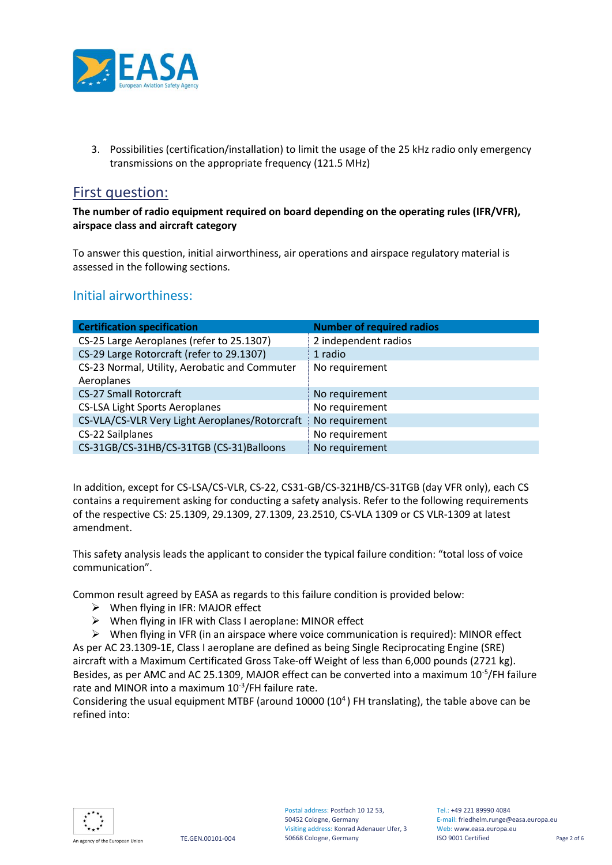

3. Possibilities (certification/installation) to limit the usage of the 25 kHz radio only emergency transmissions on the appropriate frequency (121.5 MHz)

## First question:

**The number of radio equipment required on board depending on the operating rules (IFR/VFR), airspace class and aircraft category**

To answer this question, initial airworthiness, air operations and airspace regulatory material is assessed in the following sections.

### Initial airworthiness:

| <b>Certification specification</b>             | <b>Number of required radios</b> |
|------------------------------------------------|----------------------------------|
| CS-25 Large Aeroplanes (refer to 25.1307)      | 2 independent radios             |
| CS-29 Large Rotorcraft (refer to 29.1307)      | 1 radio                          |
| CS-23 Normal, Utility, Aerobatic and Commuter  | No requirement                   |
| Aeroplanes                                     |                                  |
| <b>CS-27 Small Rotorcraft</b>                  | No requirement                   |
| <b>CS-LSA Light Sports Aeroplanes</b>          | No requirement                   |
| CS-VLA/CS-VLR Very Light Aeroplanes/Rotorcraft | No requirement                   |
| CS-22 Sailplanes                               | No requirement                   |
| CS-31GB/CS-31HB/CS-31TGB (CS-31)Balloons       | No requirement                   |

In addition, except for CS-LSA/CS-VLR, CS-22, CS31-GB/CS-321HB/CS-31TGB (day VFR only), each CS contains a requirement asking for conducting a safety analysis. Refer to the following requirements of the respective CS: 25.1309, 29.1309, 27.1309, 23.2510, CS-VLA 1309 or CS VLR-1309 at latest amendment.

This safety analysis leads the applicant to consider the typical failure condition: "total loss of voice communication".

Common result agreed by EASA as regards to this failure condition is provided below:

- $\triangleright$  When flying in IFR: MAJOR effect
- When flying in IFR with Class I aeroplane: MINOR effect

 When flying in VFR (in an airspace where voice communication is required): MINOR effect As per AC 23.1309-1E, Class I aeroplane are defined as being Single Reciprocating Engine (SRE) aircraft with a Maximum Certificated Gross Take-off Weight of less than 6,000 pounds (2721 kg). Besides, as per AMC and AC 25.1309, MAJOR effect can be converted into a maximum 10<sup>-5</sup>/FH failure rate and MINOR into a maximum  $10^{-3}/$ FH failure rate.

Considering the usual equipment MTBF (around 10000 (10<sup>4</sup>) FH translating), the table above can be refined into:

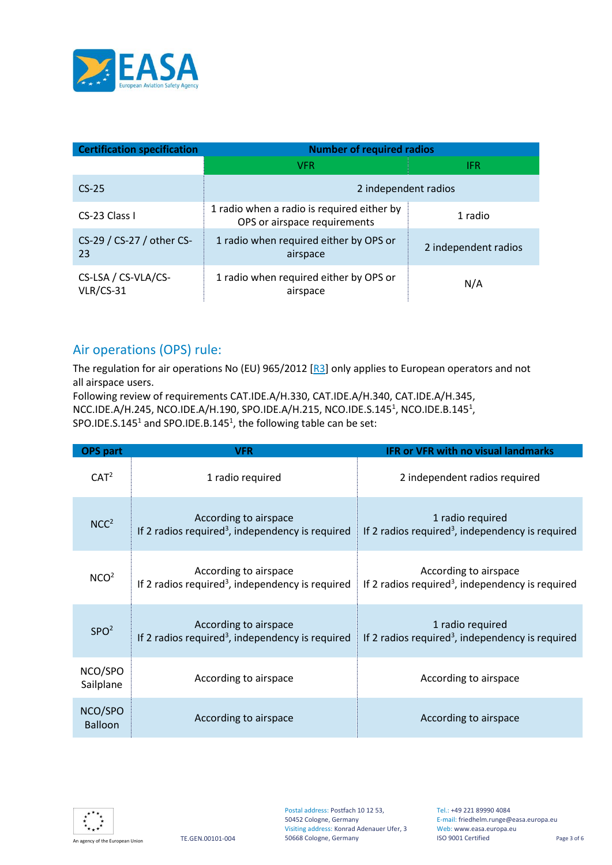

| <b>Certification specification</b> | <b>Number of required radios</b>                                           |                      |  |
|------------------------------------|----------------------------------------------------------------------------|----------------------|--|
|                                    | <b>VFR</b>                                                                 | IFR.                 |  |
| $CS-25$                            | 2 independent radios                                                       |                      |  |
| CS-23 Class I                      | 1 radio when a radio is required either by<br>OPS or airspace requirements | 1 radio              |  |
| CS-29 / CS-27 / other CS-<br>23    | 1 radio when required either by OPS or<br>airspace                         | 2 independent radios |  |
| CS-LSA / CS-VLA/CS-<br>$VLR/CS-31$ | 1 radio when required either by OPS or<br>airspace                         | N/A                  |  |

## Air operations (OPS) rule:

The regulation for air operations No (EU) 965/2012 [\[R3\]](#page-0-0) only applies to European operators and not all airspace users.

Following review of requirements CAT.IDE.A/H.330, CAT.IDE.A/H.340, CAT.IDE.A/H.345, NCC.IDE.A/H.245, NCO.IDE.A/H.190, SPO.IDE.A/H.215, NCO.IDE.S.145<sup>1</sup>, NCO.IDE.B.145<sup>1</sup>, SPO.IDE.S.145<sup>1</sup> and SPO.IDE.B.145<sup>1</sup>, the following table can be set:

| OPS part                  | <b>VFR</b>                                                                            | <b>IFR or VFR with no visual landmarks</b>                                            |
|---------------------------|---------------------------------------------------------------------------------------|---------------------------------------------------------------------------------------|
| CAT <sup>2</sup>          | 1 radio required                                                                      | 2 independent radios required                                                         |
| NCC <sup>2</sup>          | According to airspace<br>If 2 radios required <sup>3</sup> , independency is required | 1 radio required<br>If 2 radios required <sup>3</sup> , independency is required      |
| NCO <sup>2</sup>          | According to airspace<br>If 2 radios required <sup>3</sup> , independency is required | According to airspace<br>If 2 radios required <sup>3</sup> , independency is required |
| SPO <sup>2</sup>          | According to airspace<br>If 2 radios required <sup>3</sup> , independency is required | 1 radio required<br>If 2 radios required <sup>3</sup> , independency is required      |
| NCO/SPO<br>Sailplane      | According to airspace                                                                 | According to airspace                                                                 |
| NCO/SPO<br><b>Balloon</b> | According to airspace                                                                 | According to airspace                                                                 |



Tel.: +49 221 89990 4084 E-mail: friedhelm.runge@easa.europa.eu Web: www.easa.europa.eu<br>ISO 9001 Certified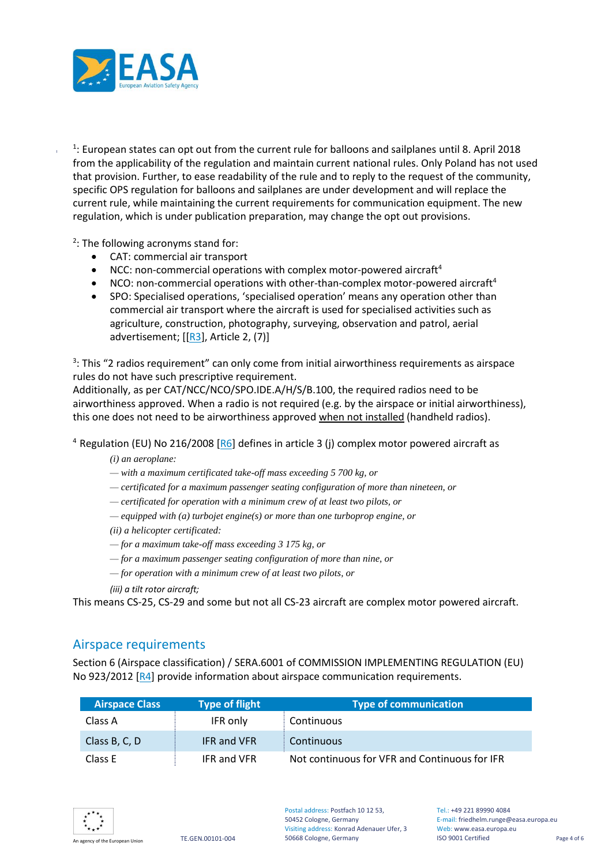

<sup>1</sup>: European states can opt out from the current rule for balloons and sailplanes until 8. April 2018 from the applicability of the regulation and maintain current national rules. Only Poland has not used that provision. Further, to ease readability of the rule and to reply to the request of the community, specific OPS regulation for balloons and sailplanes are under development and will replace the current rule, while maintaining the current requirements for communication equipment. The new regulation, which is under publication preparation, may change the opt out provisions.

<sup>2</sup>: The following acronyms stand for:

- CAT: commercial air transport
- NCC: non-commercial operations with complex motor-powered aircraft<sup>4</sup>
- NCO: non-commercial operations with other-than-complex motor-powered aircraft<sup>4</sup>
- SPO: Specialised operations, 'specialised operation' means any operation other than commercial air transport where the aircraft is used for specialised activities such as agriculture, construction, photography, surveying, observation and patrol, aerial advertisement;  $[[R3]$  $[[R3]$ , Article 2, (7)]

<sup>3</sup>: This "2 radios requirement" can only come from initial airworthiness requirements as airspace rules do not have such prescriptive requirement.

Additionally, as per CAT/NCC/NCO/SPO.IDE.A/H/S/B.100, the required radios need to be airworthiness approved. When a radio is not required (e.g. by the airspace or initial airworthiness), this one does not need to be airworthiness approved when not installed (handheld radios).

<sup>4</sup> Regulation (EU) No 216/2008 [\[R6\]](#page-0-0) defines in article 3 (j) complex motor powered aircraft as

*(i) an aeroplane:* 

*— with a maximum certificated take-off mass exceeding 5 700 kg, or* 

- *— certificated for a maximum passenger seating configuration of more than nineteen, or*
- *— certificated for operation with a minimum crew of at least two pilots, or*
- *— equipped with (a) turbojet engine(s) or more than one turboprop engine, or*

*(ii) a helicopter certificated:* 

- *— for a maximum take-off mass exceeding 3 175 kg, or*
- *— for a maximum passenger seating configuration of more than nine, or*
- *— for operation with a minimum crew of at least two pilots, or*

*(iii) a tilt rotor aircraft;*

This means CS-25, CS-29 and some but not all CS-23 aircraft are complex motor powered aircraft.

#### Airspace requirements

Section 6 (Airspace classification) / SERA.6001 of COMMISSION IMPLEMENTING REGULATION (EU) No 923/2012 [\[R4\]](#page-0-0) provide information about airspace communication requirements.

| <b>Airspace Class</b> | <b>Type of flight</b> | <b>Type of communication</b>                  |
|-----------------------|-----------------------|-----------------------------------------------|
| Class A               | IFR only              | Continuous                                    |
| Class B, C, D         | <b>IFR and VFR</b>    | <b>Continuous</b>                             |
| Class E               | IFR and VFR           | Not continuous for VFR and Continuous for IFR |



Tel: +49 221 89990 4084 E-mail: friedhelm.runge@easa.europa.eu Web: www.easa.europa.eu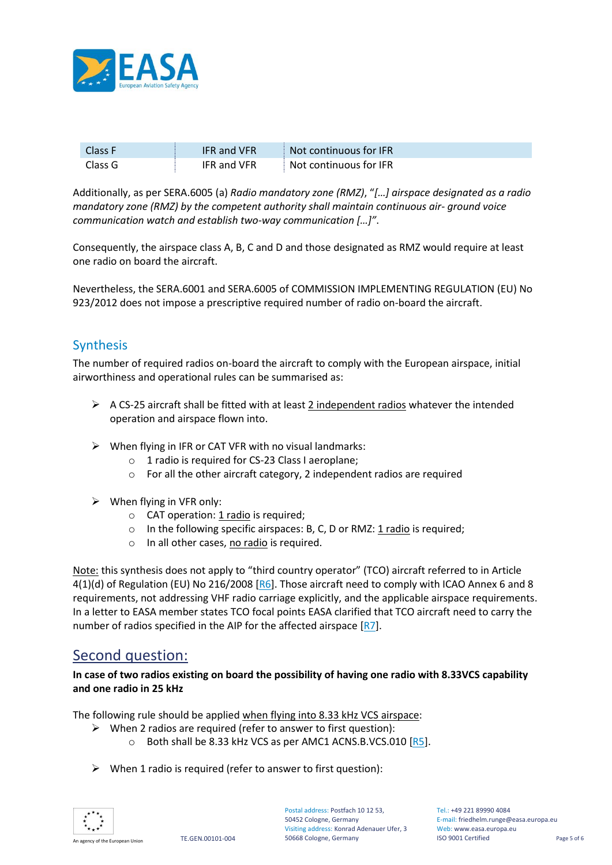

| Class F | <b>IFR and VFR</b> | Not continuous for IFR |
|---------|--------------------|------------------------|
| Class G | <b>IFR and VFR</b> | Not continuous for IFR |

Additionally, as per SERA.6005 (a) *Radio mandatory zone (RMZ)*, "*[…] airspace designated as a radio mandatory zone (RMZ) by the competent authority shall maintain continuous air- ground voice communication watch and establish two-way communication […]"*.

Consequently, the airspace class A, B, C and D and those designated as RMZ would require at least one radio on board the aircraft.

Nevertheless, the SERA.6001 and SERA.6005 of COMMISSION IMPLEMENTING REGULATION (EU) No 923/2012 does not impose a prescriptive required number of radio on-board the aircraft.

### Synthesis

The number of required radios on-board the aircraft to comply with the European airspace, initial airworthiness and operational rules can be summarised as:

- $\triangleright$  A CS-25 aircraft shall be fitted with at least 2 independent radios whatever the intended operation and airspace flown into.
- $\triangleright$  When flying in IFR or CAT VFR with no visual landmarks:
	- o 1 radio is required for CS-23 Class I aeroplane;
	- o For all the other aircraft category, 2 independent radios are required
- $\triangleright$  When flying in VFR only:
	- o CAT operation: 1 radio is required;
	- $\circ$  In the following specific airspaces: B, C, D or RMZ: 1 radio is required;
	- o In all other cases, no radio is required.

Note: this synthesis does not apply to "third country operator" (TCO) aircraft referred to in Article 4(1)(d) of Regulation (EU) No 216/2008 [\[R6\]](#page-0-0). Those aircraft need to comply with ICAO Annex 6 and 8 requirements, not addressing VHF radio carriage explicitly, and the applicable airspace requirements. In a letter to EASA member states TCO focal points EASA clarified that TCO aircraft need to carry the number of radios specified in the AIP for the affected airspace [\[R7\]](#page-0-0).

### Second question:

**In case of two radios existing on board the possibility of having one radio with 8.33VCS capability and one radio in 25 kHz**

The following rule should be applied when flying into 8.33 kHz VCS airspace:

- $\triangleright$  When 2 radios are required (refer to answer to first question):
	- o Both shall be 8.33 kHz VCS as per AMC1 ACNS.B.VCS.010 [\[R5\]](#page-0-0).
- $\triangleright$  When 1 radio is required (refer to answer to first question):



Tel: +49 221 89990 4084 E-mail: friedhelm.runge@easa.europa.eu Web: www.easa.europa.eu